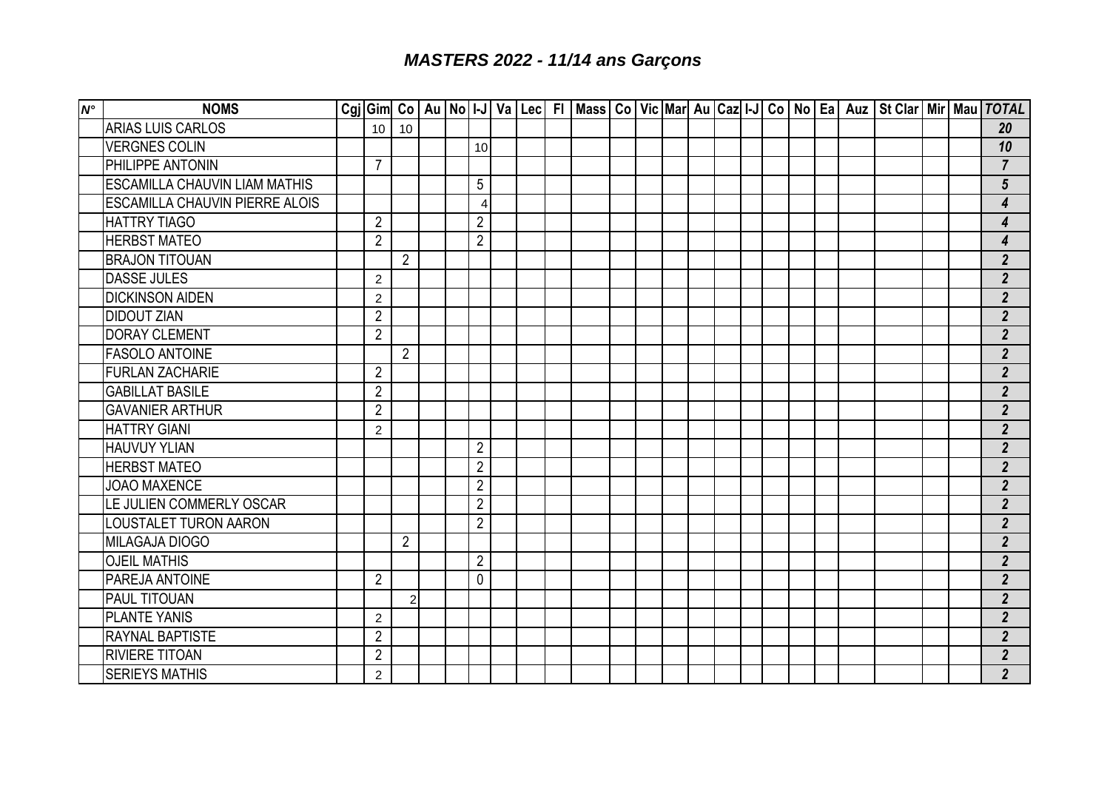## *MASTERS 2022 - 11/14 ans Garçons*

| $\mathsf{N}^\circ$ | <b>NOMS</b>                           |                |                |  |                |  |  |  |  |  |  |  | Cgj   Gim   Co   Au   No   I-J   Va   Lec   FI   Mass   Co   Vic   Mar   Au   Caz   I-J   Co   No   Ea   Auz   St Clar   Mir   Mau   TOTAL |  |                         |
|--------------------|---------------------------------------|----------------|----------------|--|----------------|--|--|--|--|--|--|--|--------------------------------------------------------------------------------------------------------------------------------------------|--|-------------------------|
|                    | <b>ARIAS LUIS CARLOS</b>              | 10             | 10             |  |                |  |  |  |  |  |  |  |                                                                                                                                            |  | 20                      |
|                    | <b>VERGNES COLIN</b>                  |                |                |  | 10             |  |  |  |  |  |  |  |                                                                                                                                            |  | 10                      |
|                    | PHILIPPE ANTONIN                      | $\overline{7}$ |                |  |                |  |  |  |  |  |  |  |                                                                                                                                            |  | $\overline{7}$          |
|                    | <b>ESCAMILLA CHAUVIN LIAM MATHIS</b>  |                |                |  | 5              |  |  |  |  |  |  |  |                                                                                                                                            |  | $5\phantom{.0}$         |
|                    | <b>ESCAMILLA CHAUVIN PIERRE ALOIS</b> |                |                |  | 4              |  |  |  |  |  |  |  |                                                                                                                                            |  | 4                       |
|                    | <b>HATTRY TIAGO</b>                   | $\overline{2}$ |                |  | $\overline{2}$ |  |  |  |  |  |  |  |                                                                                                                                            |  | $\overline{\mathbf{4}}$ |
|                    | <b>HERBST MATEO</b>                   | $\overline{2}$ |                |  | $\overline{2}$ |  |  |  |  |  |  |  |                                                                                                                                            |  | 4                       |
|                    | <b>BRAJON TITOUAN</b>                 |                | $\overline{2}$ |  |                |  |  |  |  |  |  |  |                                                                                                                                            |  | $\overline{2}$          |
|                    | <b>DASSE JULES</b>                    | $\overline{2}$ |                |  |                |  |  |  |  |  |  |  |                                                                                                                                            |  | $\overline{2}$          |
|                    | <b>DICKINSON AIDEN</b>                | $\overline{2}$ |                |  |                |  |  |  |  |  |  |  |                                                                                                                                            |  | $\overline{2}$          |
|                    | <b>DIDOUT ZIAN</b>                    | $\overline{2}$ |                |  |                |  |  |  |  |  |  |  |                                                                                                                                            |  | $\overline{2}$          |
|                    | <b>DORAY CLEMENT</b>                  | $\overline{2}$ |                |  |                |  |  |  |  |  |  |  |                                                                                                                                            |  | $\overline{2}$          |
|                    | <b>FASOLO ANTOINE</b>                 |                | $\overline{2}$ |  |                |  |  |  |  |  |  |  |                                                                                                                                            |  | 2 <sup>2</sup>          |
|                    | <b>FURLAN ZACHARIE</b>                | $\overline{2}$ |                |  |                |  |  |  |  |  |  |  |                                                                                                                                            |  | $\overline{2}$          |
|                    | <b>GABILLAT BASILE</b>                | $\overline{2}$ |                |  |                |  |  |  |  |  |  |  |                                                                                                                                            |  | $\overline{2}$          |
|                    | <b>GAVANIER ARTHUR</b>                | $\overline{2}$ |                |  |                |  |  |  |  |  |  |  |                                                                                                                                            |  | $\overline{2}$          |
|                    | <b>HATTRY GIANI</b>                   | $\overline{2}$ |                |  |                |  |  |  |  |  |  |  |                                                                                                                                            |  | 2 <sup>2</sup>          |
|                    | <b>HAUVUY YLIAN</b>                   |                |                |  | $\overline{2}$ |  |  |  |  |  |  |  |                                                                                                                                            |  | 2 <sup>2</sup>          |
|                    | <b>HERBST MATEO</b>                   |                |                |  | $\overline{2}$ |  |  |  |  |  |  |  |                                                                                                                                            |  | $\overline{2}$          |
|                    | <b>JOAO MAXENCE</b>                   |                |                |  | $\overline{2}$ |  |  |  |  |  |  |  |                                                                                                                                            |  | $2^{\circ}$             |
|                    | LE JULIEN COMMERLY OSCAR              |                |                |  | $\sqrt{2}$     |  |  |  |  |  |  |  |                                                                                                                                            |  | $\overline{2}$          |
|                    | LOUSTALET TURON AARON                 |                |                |  | $\overline{2}$ |  |  |  |  |  |  |  |                                                                                                                                            |  | $2^{\circ}$             |
|                    | <b>MILAGAJA DIOGO</b>                 |                | $\overline{2}$ |  |                |  |  |  |  |  |  |  |                                                                                                                                            |  | 2 <sup>2</sup>          |
|                    | <b>OJEIL MATHIS</b>                   |                |                |  | $\overline{2}$ |  |  |  |  |  |  |  |                                                                                                                                            |  | $\overline{2}$          |
|                    | PAREJA ANTOINE                        | $\overline{2}$ |                |  | 0              |  |  |  |  |  |  |  |                                                                                                                                            |  | $\overline{2}$          |
|                    | <b>PAUL TITOUAN</b>                   |                | $\overline{2}$ |  |                |  |  |  |  |  |  |  |                                                                                                                                            |  | $\overline{2}$          |
|                    | <b>PLANTE YANIS</b>                   | $\overline{2}$ |                |  |                |  |  |  |  |  |  |  |                                                                                                                                            |  | 2 <sup>2</sup>          |
|                    | <b>RAYNAL BAPTISTE</b>                | $\overline{2}$ |                |  |                |  |  |  |  |  |  |  |                                                                                                                                            |  | $\overline{2}$          |
|                    | <b>RIVIERE TITOAN</b>                 | $\overline{2}$ |                |  |                |  |  |  |  |  |  |  |                                                                                                                                            |  | 2 <sup>2</sup>          |
|                    | <b>SERIEYS MATHIS</b>                 | $\overline{2}$ |                |  |                |  |  |  |  |  |  |  |                                                                                                                                            |  | $2^{\circ}$             |